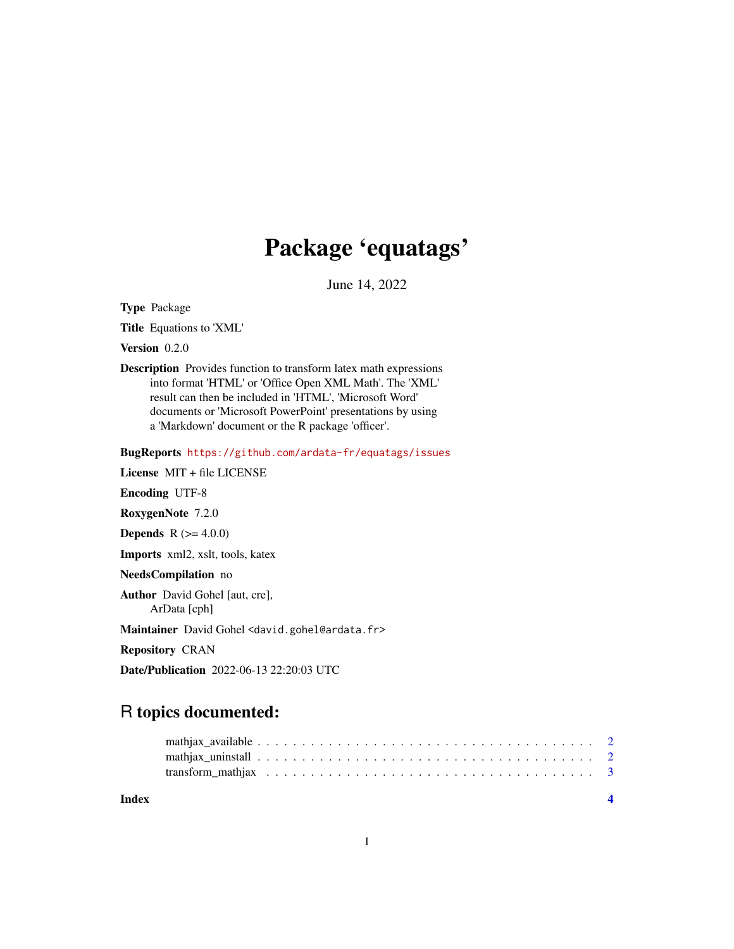## Package 'equatags'

June 14, 2022

Type Package

Title Equations to 'XML'

Version 0.2.0

Description Provides function to transform latex math expressions into format 'HTML' or 'Office Open XML Math'. The 'XML' result can then be included in 'HTML', 'Microsoft Word' documents or 'Microsoft PowerPoint' presentations by using a 'Markdown' document or the R package 'officer'.

BugReports <https://github.com/ardata-fr/equatags/issues>

License MIT + file LICENSE

Encoding UTF-8

RoxygenNote 7.2.0

**Depends**  $R (= 4.0.0)$ 

Imports xml2, xslt, tools, katex

NeedsCompilation no

Author David Gohel [aut, cre], ArData [cph]

Maintainer David Gohel <david.gohel@ardata.fr>

Repository CRAN

Date/Publication 2022-06-13 22:20:03 UTC

### R topics documented:

**Index** [4](#page-3-0)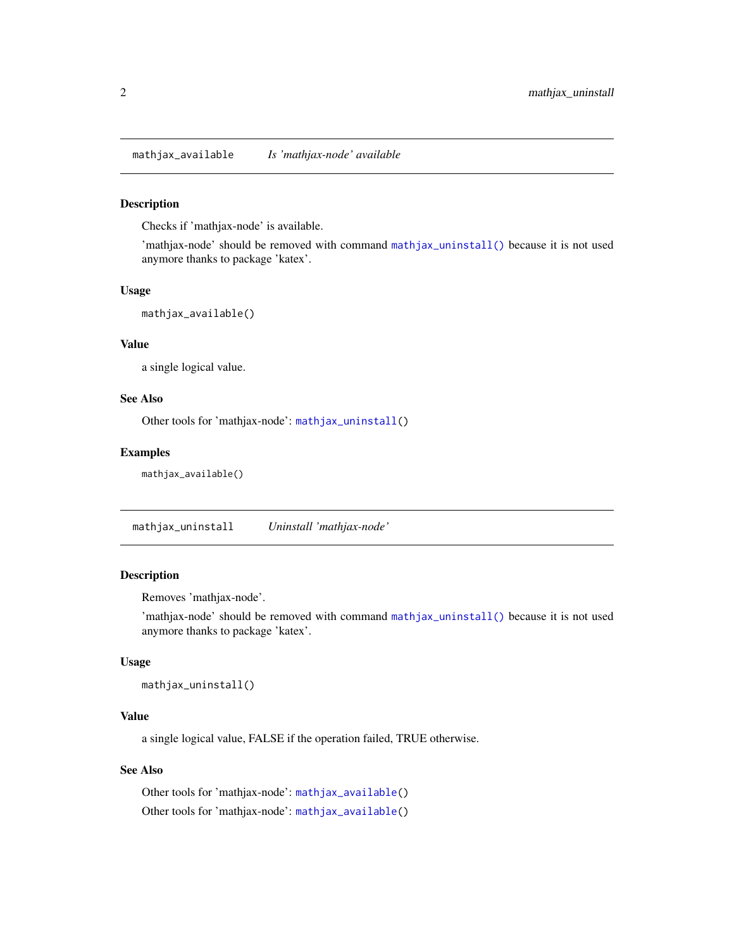<span id="page-1-2"></span><span id="page-1-0"></span>mathjax\_available *Is 'mathjax-node' available*

#### Description

Checks if 'mathjax-node' is available.

'mathjax-node' should be removed with command [mathjax\\_uninstall\(\)](#page-1-1) because it is not used anymore thanks to package 'katex'.

#### Usage

mathjax\_available()

#### Value

a single logical value.

#### See Also

Other tools for 'mathjax-node': [mathjax\\_uninstall\(](#page-1-1))

#### Examples

mathjax\_available()

<span id="page-1-1"></span>mathjax\_uninstall *Uninstall 'mathjax-node'*

#### Description

Removes 'mathjax-node'.

'mathjax-node' should be removed with command [mathjax\\_uninstall\(\)](#page-1-1) because it is not used anymore thanks to package 'katex'.

#### Usage

```
mathjax_uninstall()
```
#### Value

a single logical value, FALSE if the operation failed, TRUE otherwise.

#### See Also

Other tools for 'mathjax-node': [mathjax\\_available\(](#page-1-2)) Other tools for 'mathjax-node': [mathjax\\_available\(](#page-1-2))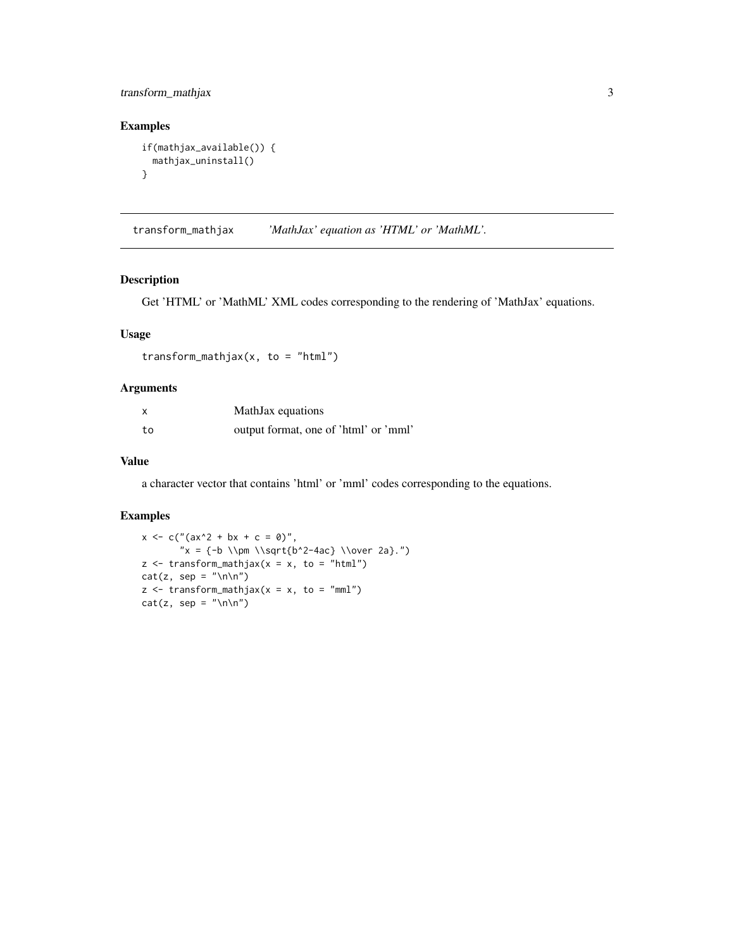#### <span id="page-2-0"></span>transform\_mathjax 3

#### Examples

```
if(mathjax_available()) {
 mathjax_uninstall()
}
```
transform\_mathjax *'MathJax' equation as 'HTML' or 'MathML'.*

#### Description

Get 'HTML' or 'MathML' XML codes corresponding to the rendering of 'MathJax' equations.

#### Usage

transform\_mathjax( $x$ , to = "html")

#### Arguments

| x  | MathJax equations                     |
|----|---------------------------------------|
| to | output format, one of 'html' or 'mml' |

#### Value

a character vector that contains 'html' or 'mml' codes corresponding to the equations.

#### Examples

```
x \leq -c("(ax^2 + bx + c = \emptyset)","x = {-b \l \pm \l\sqrt{b^2-4ac} \l\over 2a}."z \le transform_mathjax(x = x, to = "html")
cat(z, sep = "\\n\\n")z \le transform_mathjax(x = x, to = "mml")
cat(z, sep = "\\n\\n")
```